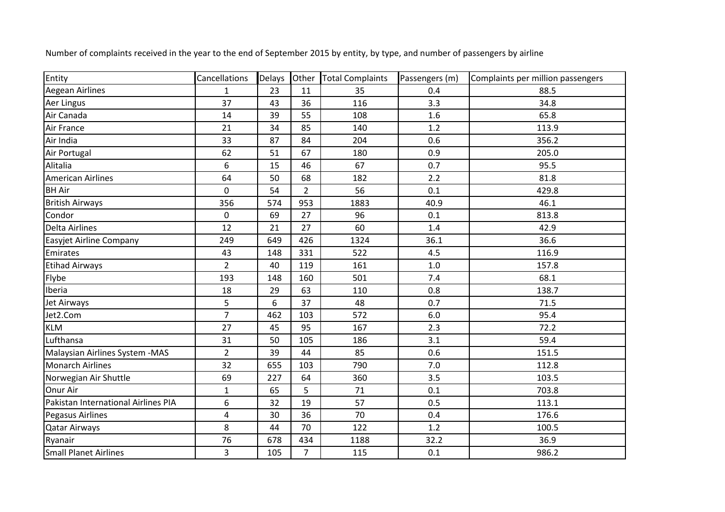| Entity                              | <b>Cancellations</b> | Delays Other |                | <b>Total Complaints</b> | Passengers (m) | Complaints per million passengers |
|-------------------------------------|----------------------|--------------|----------------|-------------------------|----------------|-----------------------------------|
| <b>Aegean Airlines</b>              | $\mathbf{1}$         | 23           | 11             | 35                      | 0.4            | 88.5                              |
| Aer Lingus                          | 37                   | 43           | 36             | 116                     | 3.3            | 34.8                              |
| Air Canada                          | 14                   | 39           | 55             | 108                     | 1.6            | 65.8                              |
| Air France                          | 21                   | 34           | 85             | 140                     | 1.2            | 113.9                             |
| Air India                           | 33                   | 87           | 84             | 204                     | 0.6            | 356.2                             |
| Air Portugal                        | 62                   | 51           | 67             | 180                     | 0.9            | 205.0                             |
| Alitalia                            | 6                    | 15           | 46             | 67                      | 0.7            | 95.5                              |
| <b>American Airlines</b>            | 64                   | 50           | 68             | 182                     | 2.2            | 81.8                              |
| <b>BH Air</b>                       | 0                    | 54           | $\overline{2}$ | 56                      | 0.1            | 429.8                             |
| <b>British Airways</b>              | 356                  | 574          | 953            | 1883                    | 40.9           | 46.1                              |
| Condor                              | 0                    | 69           | 27             | 96                      | 0.1            | 813.8                             |
| <b>Delta Airlines</b>               | 12                   | 21           | 27             | 60                      | 1.4            | 42.9                              |
| <b>Easyjet Airline Company</b>      | 249                  | 649          | 426            | 1324                    | 36.1           | 36.6                              |
| Emirates                            | 43                   | 148          | 331            | 522                     | 4.5            | 116.9                             |
| <b>Etihad Airways</b>               | $\overline{2}$       | 40           | 119            | 161                     | $1.0$          | 157.8                             |
| Flybe                               | 193                  | 148          | 160            | 501                     | 7.4            | 68.1                              |
| Iberia                              | 18                   | 29           | 63             | 110                     | 0.8            | 138.7                             |
| Jet Airways                         | 5                    | 6            | 37             | 48                      | 0.7            | 71.5                              |
| Jet2.Com                            | $\overline{7}$       | 462          | 103            | 572                     | 6.0            | 95.4                              |
| <b>KLM</b>                          | 27                   | 45           | 95             | 167                     | 2.3            | 72.2                              |
| Lufthansa                           | 31                   | 50           | 105            | 186                     | 3.1            | 59.4                              |
| Malaysian Airlines System - MAS     | $\overline{2}$       | 39           | 44             | 85                      | 0.6            | 151.5                             |
| <b>Monarch Airlines</b>             | 32                   | 655          | 103            | 790                     | 7.0            | 112.8                             |
| Norwegian Air Shuttle               | 69                   | 227          | 64             | 360                     | 3.5            | 103.5                             |
| Onur Air                            | $\mathbf{1}$         | 65           | 5              | 71                      | 0.1            | 703.8                             |
| Pakistan International Airlines PIA | 6                    | 32           | 19             | 57                      | 0.5            | 113.1                             |
| Pegasus Airlines                    | 4                    | 30           | 36             | 70                      | 0.4            | 176.6                             |
| <b>Qatar Airways</b>                | 8                    | 44           | 70             | 122                     | 1.2            | 100.5                             |
| Ryanair                             | 76                   | 678          | 434            | 1188                    | 32.2           | 36.9                              |
| <b>Small Planet Airlines</b>        | 3                    | 105          | $\overline{7}$ | 115                     | 0.1            | 986.2                             |

Number of complaints received in the year to the end of September 2015 by entity, by type, and number of passengers by airline